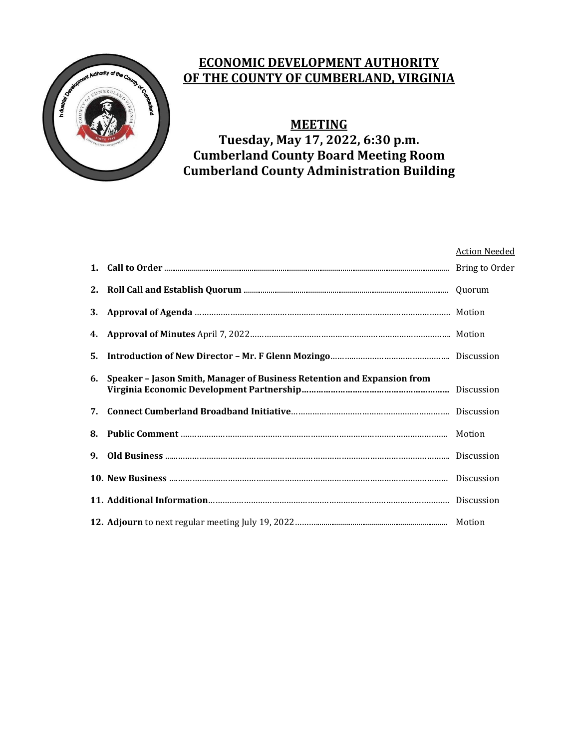

# **ECONOMIC DEVELOPMENT AUTHORITY OF THE COUNTY OF CUMBERLAND, VIRGINIA**

# **MEETING**

**Tuesday, May 17, 2022, 6:30 p.m. Cumberland County Board Meeting Room Cumberland County Administration Building**

|                      |                                                                         | <b>Action Needed</b> |
|----------------------|-------------------------------------------------------------------------|----------------------|
|                      |                                                                         |                      |
|                      |                                                                         |                      |
|                      |                                                                         |                      |
|                      |                                                                         |                      |
| 5.                   |                                                                         |                      |
| 6.                   | Speaker - Jason Smith, Manager of Business Retention and Expansion from |                      |
| 7.                   |                                                                         |                      |
|                      |                                                                         |                      |
| $\mathbf{q}_{\perp}$ |                                                                         |                      |
|                      |                                                                         |                      |
|                      |                                                                         |                      |
|                      |                                                                         |                      |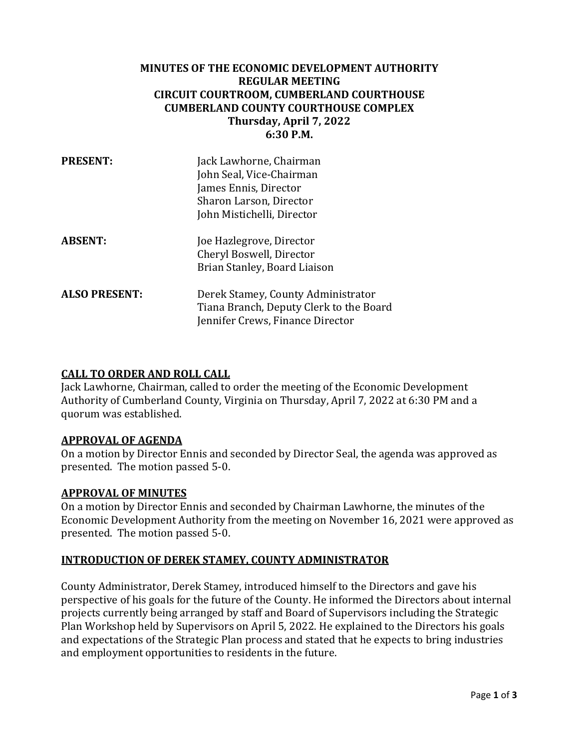## **MINUTES OF THE ECONOMIC DEVELOPMENT AUTHORITY REGULAR MEETING CIRCUIT COURTROOM, CUMBERLAND COURTHOUSE CUMBERLAND COUNTY COURTHOUSE COMPLEX Thursday, April 7, 2022 6:30 P.M.**

| <b>PRESENT:</b>      | Jack Lawhorne, Chairman<br>John Seal, Vice-Chairman<br>James Ennis, Director<br>Sharon Larson, Director<br>John Mistichelli, Director |
|----------------------|---------------------------------------------------------------------------------------------------------------------------------------|
| <b>ABSENT:</b>       | Joe Hazlegrove, Director<br>Cheryl Boswell, Director<br>Brian Stanley, Board Liaison                                                  |
| <b>ALSO PRESENT:</b> | Derek Stamey, County Administrator<br>Tiana Branch, Deputy Clerk to the Board<br>Jennifer Crews, Finance Director                     |

### **CALL TO ORDER AND ROLL CALL**

Jack Lawhorne, Chairman, called to order the meeting of the Economic Development Authority of Cumberland County, Virginia on Thursday, April 7, 2022 at 6:30 PM and a quorum was established.

### **APPROVAL OF AGENDA**

On a motion by Director Ennis and seconded by Director Seal, the agenda was approved as presented. The motion passed 5-0.

### **APPROVAL OF MINUTES**

On a motion by Director Ennis and seconded by Chairman Lawhorne, the minutes of the Economic Development Authority from the meeting on November 16, 2021 were approved as presented. The motion passed 5-0.

### **INTRODUCTION OF DEREK STAMEY, COUNTY ADMINISTRATOR**

County Administrator, Derek Stamey, introduced himself to the Directors and gave his perspective of his goals for the future of the County. He informed the Directors about internal projects currently being arranged by staff and Board of Supervisors including the Strategic Plan Workshop held by Supervisors on April 5, 2022. He explained to the Directors his goals and expectations of the Strategic Plan process and stated that he expects to bring industries and employment opportunities to residents in the future.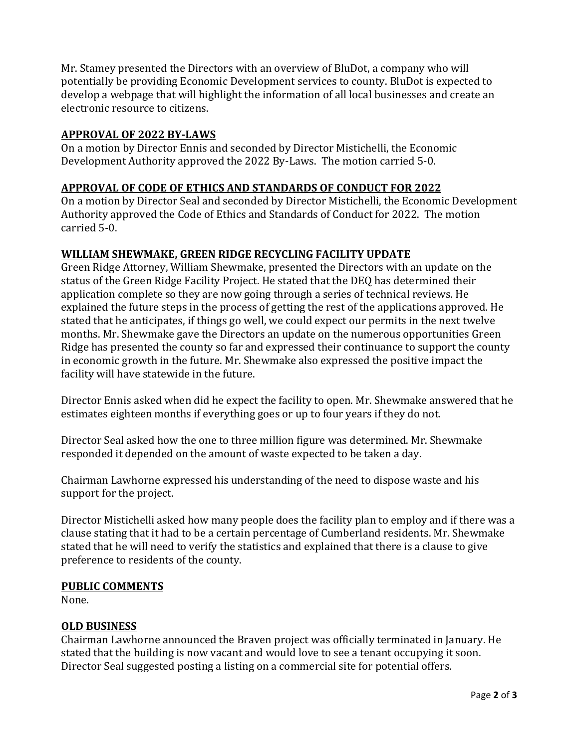Mr. Stamey presented the Directors with an overview of BluDot, a company who will potentially be providing Economic Development services to county. BluDot is expected to develop a webpage that will highlight the information of all local businesses and create an electronic resource to citizens.

## **APPROVAL OF 2022 BY‐LAWS**

On a motion by Director Ennis and seconded by Director Mistichelli, the Economic Development Authority approved the 2022 By-Laws. The motion carried 5-0.

# **APPROVAL OF CODE OF ETHICS AND STANDARDS OF CONDUCT FOR 2022**

On a motion by Director Seal and seconded by Director Mistichelli, the Economic Development Authority approved the Code of Ethics and Standards of Conduct for 2022. The motion carried 5-0.

# **WILLIAM SHEWMAKE, GREEN RIDGE RECYCLING FACILITY UPDATE**

Green Ridge Attorney, William Shewmake, presented the Directors with an update on the status of the Green Ridge Facility Project. He stated that the DEQ has determined their application complete so they are now going through a series of technical reviews. He explained the future steps in the process of getting the rest of the applications approved. He stated that he anticipates, if things go well, we could expect our permits in the next twelve months. Mr. Shewmake gave the Directors an update on the numerous opportunities Green Ridge has presented the county so far and expressed their continuance to support the county in economic growth in the future. Mr. Shewmake also expressed the positive impact the facility will have statewide in the future.

Director Ennis asked when did he expect the facility to open. Mr. Shewmake answered that he estimates eighteen months if everything goes or up to four years if they do not.

Director Seal asked how the one to three million figure was determined. Mr. Shewmake responded it depended on the amount of waste expected to be taken a day.

Chairman Lawhorne expressed his understanding of the need to dispose waste and his support for the project.

Director Mistichelli asked how many people does the facility plan to employ and if there was a clause stating that it had to be a certain percentage of Cumberland residents. Mr. Shewmake stated that he will need to verify the statistics and explained that there is a clause to give preference to residents of the county.

## **PUBLIC COMMENTS**

None.

## **OLD BUSINESS**

Chairman Lawhorne announced the Braven project was officially terminated in January. He stated that the building is now vacant and would love to see a tenant occupying it soon. Director Seal suggested posting a listing on a commercial site for potential offers.